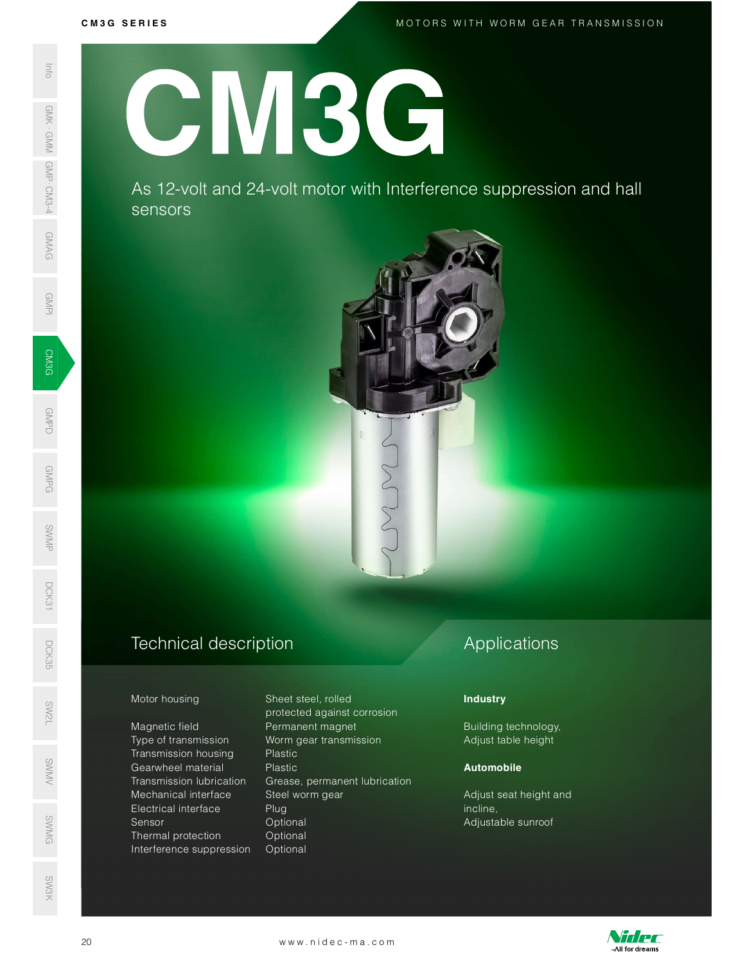GMAG

GMPS<br>GMPS<br>GMPS (1990)

GMPD<br>Demokratik<br>Demokratik

GMPG

SWMP

DCK31

CM3G SERIES<br>MOTORS WITH WORM GEAR TRANSMISSION<br>MOTORS WITH WORM GEAR TRANSMISSION

GMPI

# CM3G

As 12-volt and 24-volt motor with Interference suppression and hall sensors



## Technical description D<sub>CK</sub><br>35<br>55

Magnetic field **Permanent magnet** Type of transmission Worm gear transmission Transmission housing Plastic Mechanical interface Steel worm gear Electrical interface Plug Sensor Optional ©<br>
Sensor Coptional<br>
SMG Defined protection Optional Interference suppression Optional SW<br>No. 1986<br>No. 1986 SEE AS 12-volt<br>
SEE AS 12-volt<br>
SEE AS 12-volt<br>
SEE AS 12-volt<br>
SEE AS 12-volt<br>
SEE AS 12-volt<br>
SEE AS 12-volt<br>
SEE AS 12-volt<br>
Magnetic field<br>
Magnetic field<br>
Transmission luc<br>
Transmission in Gearwheel mate<br>
Transmission

Motor housing Sheet steel, rolled protected against corrosion s<br>Sentang Gearwheel material The Plastic<br>Sentang Transmission lubrication Grease, permanent lubricati Transmission lubrication Grease, permanent lubrication Mechanical interface Steel worm gear Adjust seat height and Electrical interface Plug<br>
20 Words Control Control Control Control Control Control Control Control Control Control Control Control Control<br>
20 Words Control Cont

# Applications

## **Industry**

Building technology, Adjust table height

## Automobile

Adjust seat height and incline, Adjustable sunroof



SW3K